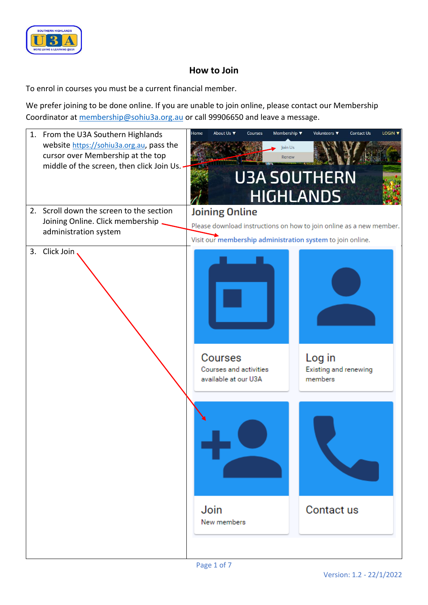

## **How to Join**

To enrol in courses you must be a current financial member.

We prefer joining to be done online. If you are unable to join online, please contact our Membership Coordinator at [membership@sohiu3a.org.au](mailto:membership@sohiu3a.org.au) or call 99906650 and leave a message.

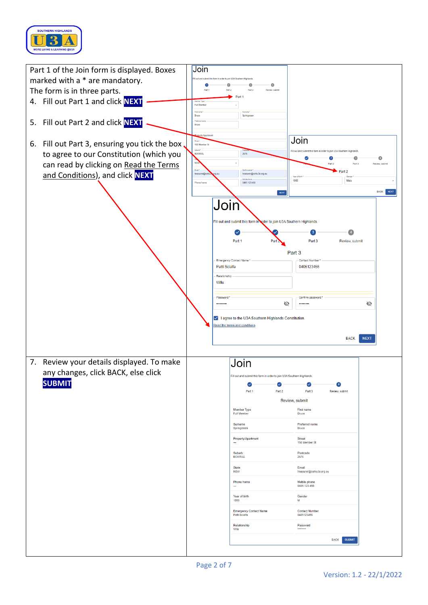

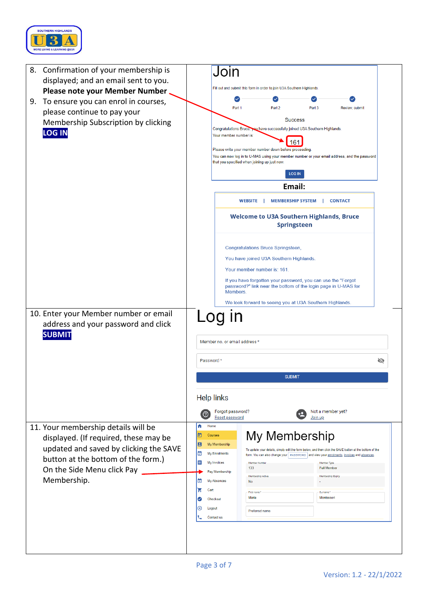

| 8. Confirmation of your membership is                                                         | Join                                                                                                                                                                 |  |  |  |
|-----------------------------------------------------------------------------------------------|----------------------------------------------------------------------------------------------------------------------------------------------------------------------|--|--|--|
| displayed; and an email sent to you.                                                          | Fill out and submit this form in order to join U3A Southern Highlands.                                                                                               |  |  |  |
| Please note your Member Number                                                                |                                                                                                                                                                      |  |  |  |
| To ensure you can enrol in courses,<br>9.                                                     | Part 1<br>Part <sub>2</sub><br>Part 3<br>Review, submit                                                                                                              |  |  |  |
| please continue to pay your                                                                   | <b>Success</b>                                                                                                                                                       |  |  |  |
| Membership Subscription by clicking                                                           | Congratulations Bruce, you have successfully joined U3A Southern Highlands.                                                                                          |  |  |  |
| <b>LOG IN</b>                                                                                 | Your member number is:                                                                                                                                               |  |  |  |
|                                                                                               | 61<br>Please write your member number down before proceeding.                                                                                                        |  |  |  |
|                                                                                               | You can now log in to U-MAS using your member number or your email address, and the password<br>that you specified when joining up just now.                         |  |  |  |
|                                                                                               | <b>LOG IN</b>                                                                                                                                                        |  |  |  |
|                                                                                               | Email:                                                                                                                                                               |  |  |  |
|                                                                                               | <b>WEBSITE</b><br><b>MEMBERSHIP SYSTEM</b><br><b>CONTACT</b>                                                                                                         |  |  |  |
|                                                                                               | <b>Welcome to U3A Southern Highlands, Bruce</b><br><b>Springsteen</b>                                                                                                |  |  |  |
|                                                                                               | <b>Congratulations Bruce Springsteen,</b>                                                                                                                            |  |  |  |
|                                                                                               | You have joined U3A Southern Highlands.                                                                                                                              |  |  |  |
|                                                                                               | Your member number is: 161.                                                                                                                                          |  |  |  |
|                                                                                               | If you have forgotten your password, you can use the "Forgot                                                                                                         |  |  |  |
|                                                                                               | password?" link near the bottom of the login page in U-MAS for<br>Members.                                                                                           |  |  |  |
|                                                                                               | We look forward to seeing you at U3A Southern Highlands.                                                                                                             |  |  |  |
| 10. Enter your Member number or email<br>address and your password and click<br><b>SUBMIT</b> | ın<br>Member no. or email address *                                                                                                                                  |  |  |  |
|                                                                                               | Password *<br>ø                                                                                                                                                      |  |  |  |
|                                                                                               | <b>SUBMIT</b>                                                                                                                                                        |  |  |  |
|                                                                                               |                                                                                                                                                                      |  |  |  |
|                                                                                               | <b>Help links</b>                                                                                                                                                    |  |  |  |
|                                                                                               | Not a member yet?<br>Forgot password?<br>C<br><b>Reset password</b><br>Join up                                                                                       |  |  |  |
| 11. Your membership details will be                                                           | A<br>Home                                                                                                                                                            |  |  |  |
| displayed. (If required, these may be                                                         | My Membership<br>ō<br>Courses                                                                                                                                        |  |  |  |
|                                                                                               | 日<br>My Membership<br>To update your details, simply edit the form below, and then click the SAVE button at the bottom of the                                        |  |  |  |
| updated and saved by clicking the SAVE                                                        |                                                                                                                                                                      |  |  |  |
| button at the bottom of the form.)                                                            | ◙<br>My Enrolments<br>form. You can also change your   PASSWORD   and view your enrolments, invoices and absences<br>Ë<br>My Invoices<br>Member Numbe<br>Member Type |  |  |  |
| On the Side Menu click Pay                                                                    | 133<br><b>Full Member</b><br>Pay Membership                                                                                                                          |  |  |  |
| Membership.                                                                                   | Membership Active<br>Membership Expiry<br>因<br>My Absences<br>No                                                                                                     |  |  |  |
|                                                                                               | ਦ<br>Cart<br>First name<br>Surname                                                                                                                                   |  |  |  |
|                                                                                               | Maria<br>Montessori<br>☑<br>Checkout<br>⊗<br>Logout                                                                                                                  |  |  |  |
|                                                                                               | Preferred name<br>Contact us                                                                                                                                         |  |  |  |
|                                                                                               |                                                                                                                                                                      |  |  |  |
|                                                                                               |                                                                                                                                                                      |  |  |  |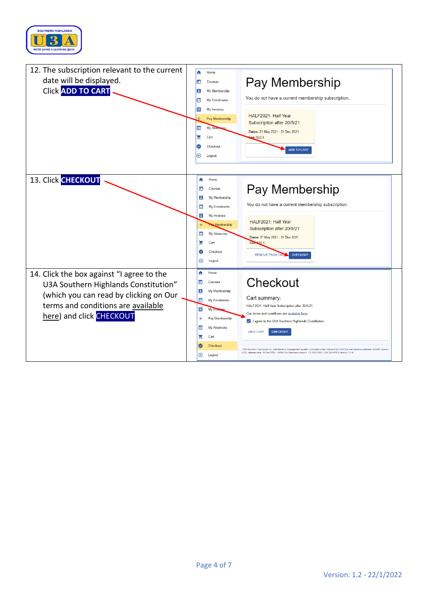

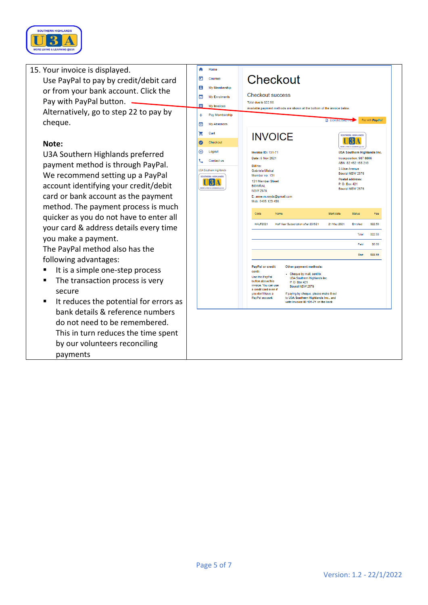

| 15. Your invoice is displayed.              | A<br>Home                                              |                                                                                                                                          |
|---------------------------------------------|--------------------------------------------------------|------------------------------------------------------------------------------------------------------------------------------------------|
| Use PayPal to pay by credit/debit card      | o<br><b>Courses</b>                                    | Checkout                                                                                                                                 |
| or from your bank account. Click the        | в<br>My Membership                                     | <b>Checkout success</b>                                                                                                                  |
| Pay with PayPal button. -                   | ⊡<br><b>My Enrolments</b>                              | Total due is \$22.50.                                                                                                                    |
| Alternatively, go to step 22 to pay by      | ≣<br>My Invoices<br>$\scriptstyle +$<br>Pay Membership | Available payment methods are shown at the bottom of the invoice below.                                                                  |
| cheque.                                     | <b>My Absences</b><br>$\mathbf{x}$                     | Pay with Pay Pal<br>DOWNLOAD F                                                                                                           |
|                                             | ਦ<br>Cart                                              |                                                                                                                                          |
| Note:                                       | Checkout<br>$\bullet$                                  | <b>INVOICE</b>                                                                                                                           |
| U3A Southern Highlands preferred            | ⊛<br>Logout                                            | <b>Invoice ID: 131-71</b><br>U3A Southern Highlands Inc.                                                                                 |
|                                             | Contact us                                             | Date: 6 Nov 2021<br>Incorporation: 987 8806<br>ABN: 82 452 155 213                                                                       |
| payment method is through PayPal.           | <b>U3A Southern Highlands</b>                          | <b>Bill to:</b><br>3 Alice Avenue<br>Gabriela Mistral<br>Bowral NSW 2576                                                                 |
| We recommend setting up a PayPal            | SOUTHERN HIGHLANDS<br>131                              | Member no: 131<br>Postal address:<br><b>131 Member Street</b><br>P O Box 421                                                             |
| account identifying your credit/debit       | ORE LIVING & LEARNING @ UI                             | <b>BOWRAL</b><br>Bowral NSW 2576<br><b>NSW 2576</b>                                                                                      |
| card or bank account as the payment         |                                                        | E: anne.m.royds@gmail.com<br>Mob: 0405 123 456                                                                                           |
| method. The payment process is much         |                                                        | Name<br>Start date<br>Status<br>Code<br>Fee                                                                                              |
| quicker as you do not have to enter all     |                                                        | <b>HAI F2021</b><br>Half Year Subscription after 20/5/21<br>21 May 2021<br>Enrolled<br>\$22.50                                           |
| your card & address details every time      |                                                        | \$22.50                                                                                                                                  |
| you make a payment.                         |                                                        | Total                                                                                                                                    |
| The PayPal method also has the              |                                                        | Paid<br>\$0.00                                                                                                                           |
| following advantages:                       |                                                        | \$22.50<br>Due                                                                                                                           |
| It is a simple one-step process             |                                                        | <b>PayPal or credit</b><br>Other payment methods:<br>card:<br>- Cheque by mail, sent to:                                                 |
| The transaction process is very<br>г        |                                                        | Use the PayPal<br>U3A Southern Highlands Inc.<br>button above this<br>P. O. Box 421                                                      |
| secure                                      |                                                        | invoice. You can use<br>Bowral NSW 2576<br>a credit card even if<br>vou don't have a                                                     |
| It reduces the potential for errors as<br>п |                                                        | If paying by cheque, please make it out<br>to U3A Southern Highlands Inc., and<br>PayPal account.<br>write Invoice ID 131-71 on the back |
| bank details & reference numbers            |                                                        |                                                                                                                                          |
| do not need to be remembered.               |                                                        |                                                                                                                                          |
|                                             |                                                        |                                                                                                                                          |
| This in turn reduces the time spent         |                                                        |                                                                                                                                          |
| by our volunteers reconciling               |                                                        |                                                                                                                                          |
| payments                                    |                                                        |                                                                                                                                          |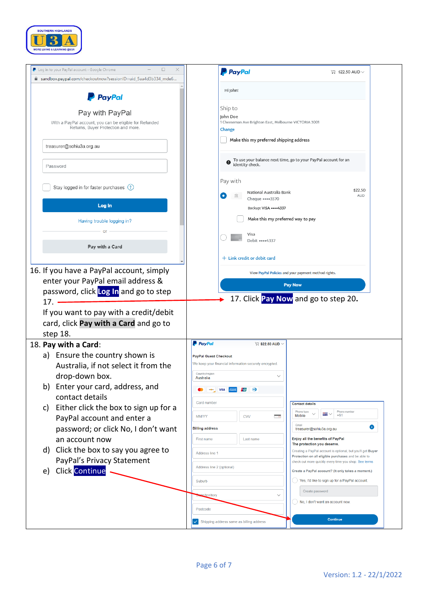

| Log in to your PayPal account - Google Chrome<br>□<br>×                                                           | <b>P</b> PayPal                                                                         | $\Box$ \$22.50 AUD $\vee$                                                                                    |
|-------------------------------------------------------------------------------------------------------------------|-----------------------------------------------------------------------------------------|--------------------------------------------------------------------------------------------------------------|
| m sandbox.paypal.com/checkoutnow?sessionID=uid_5aa4d3b334_mde6                                                    |                                                                                         |                                                                                                              |
| <b>PayPal</b>                                                                                                     | Hi John!                                                                                |                                                                                                              |
| Pay with PayPal<br>With a PayPal account, you can be eligible for Refunded<br>Returns, Buyer Protection and more. | Ship to<br>John Doe<br>1 Cheeseman Ave Brighton East, Melbourne VICTORIA 3001<br>Change |                                                                                                              |
| treasurer@sohiu3a.org.au                                                                                          | Make this my preferred shipping address                                                 |                                                                                                              |
| Password                                                                                                          | identity check.                                                                         | To use your balance next time, go to your PayPal account for an                                              |
| Stay logged in for faster purchases (?)                                                                           | Pay with<br>National Australia Bank<br>$\bullet$<br>冝<br>Cheque ••••3570                | \$22.50<br><b>AUD</b>                                                                                        |
| Log In                                                                                                            | Backup: VISA **** 4337<br>Make this my preferred way to pay                             |                                                                                                              |
| Having trouble logging in?<br>$\Omega$                                                                            | Visa                                                                                    |                                                                                                              |
| Pay with a Card                                                                                                   | Debit ••••4337<br>$+$ Link credit or debit card                                         |                                                                                                              |
| 16. If you have a PayPal account, simply                                                                          |                                                                                         | View PayPal Policies and your payment method rights.                                                         |
| enter your PayPal email address &                                                                                 |                                                                                         |                                                                                                              |
|                                                                                                                   |                                                                                         |                                                                                                              |
|                                                                                                                   |                                                                                         | <b>Pay Now</b>                                                                                               |
| password, click Log In and go to step                                                                             |                                                                                         | 17. Click Pay Now and go to step 20.                                                                         |
| 17.                                                                                                               |                                                                                         |                                                                                                              |
| If you want to pay with a credit/debit                                                                            |                                                                                         |                                                                                                              |
| card, click Pay with a Card and go to                                                                             |                                                                                         |                                                                                                              |
| step 18.                                                                                                          | <b>P</b> PayPal<br>$\overline{\mathbb{R}}$ \$22.50 AUD $\vee$                           |                                                                                                              |
|                                                                                                                   |                                                                                         |                                                                                                              |
| a) Ensure the country shown is                                                                                    | <b>PayPal Guest Checkout</b><br>We keep your financial information securely encrypted.  |                                                                                                              |
| Australia, if not select it from the                                                                              | Country/region                                                                          |                                                                                                              |
| drop-down box.                                                                                                    | $\checkmark$<br>Australia                                                               |                                                                                                              |
| b) Enter your card, address, and                                                                                  | ு<br><b>VISA <i>COMEX <u>Propins</u></i></b>                                            |                                                                                                              |
| contact details                                                                                                   | Card number                                                                             | <b>Contact details</b>                                                                                       |
| Either click the box to sign up for a<br>c)                                                                       |                                                                                         | Phone type<br>Phone number                                                                                   |
| PayPal account and enter a                                                                                        | MM/YY<br>- e<br><b>CVV</b>                                                              | ÷<br>$+61$<br>Mobile                                                                                         |
| password; or click No, I don't want                                                                               | <b>Billing address</b>                                                                  | Email<br>treasurer@sohiu3a.org.au                                                                            |
| an account now                                                                                                    | First name<br>Last name                                                                 | Enjoy all the benefits of PayPal                                                                             |
| Click the box to say you agree to<br>d)                                                                           |                                                                                         | The protection you deserve.<br>Creating a PayPal account is optional, but you'll get Buyer                   |
|                                                                                                                   | Address line 1                                                                          | Protection on all eligible purchases and be able to<br>check out more quickly every time you shop. See terms |
| PayPal's Privacy Statement                                                                                        | Address line 2 (optional)                                                               | Create a PayPal account? (It only takes a moment.)                                                           |
| <b>Click Continue</b><br>e)                                                                                       | Suburb                                                                                  | Yes, I'd like to sign up for a PayPal account.                                                               |
| 18. Pay with a Card:                                                                                              |                                                                                         |                                                                                                              |
|                                                                                                                   | ate/territory                                                                           | Create password                                                                                              |
|                                                                                                                   | Postcode                                                                                | No, I don't want an account now.                                                                             |
|                                                                                                                   | Shipping address same as billing address                                                | <b>Continue</b>                                                                                              |